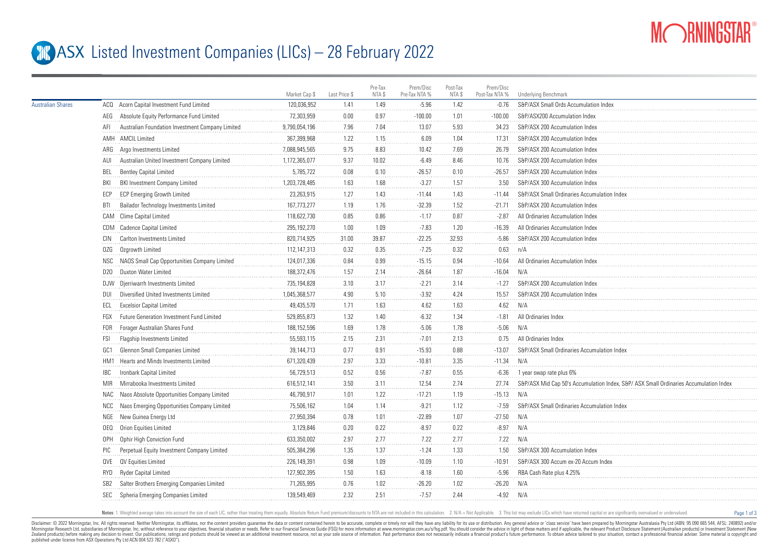

Page 1 of 3

## **ASX** Listed Investment Companies (LICs) – 28 February 2022

|                          |                                                               | Market Cap \$ | Last Price \$ | Pre-Tax<br>NTA \$ | Prem/Disc<br>Pre-Tax NTA % | Post-Tax<br>NTA \$ | Prem/Disc<br>Post-Tax NTA % | Underlying Benchmark                                                                 |
|--------------------------|---------------------------------------------------------------|---------------|---------------|-------------------|----------------------------|--------------------|-----------------------------|--------------------------------------------------------------------------------------|
| <b>Australian Shares</b> | ACQ Acorn Capital Investment Fund Limited                     | 120.036.952   | 1.41          | 1.49              | $-5.96$                    | 1.42               | $-0.76$                     | S&P/ASX Small Ords Accumulation Index                                                |
|                          | Absolute Equity Performance Fund Limited<br>AEG               | 72,303,959    | 0.00          | 0.97              | $-100.00$                  | 1.01               | $-100.00$                   | S&P/ASX200 Accumulation Index                                                        |
|                          | Australian Foundation Investment Company Limited<br>AFI       | 9,790,054,196 | 7.96          | 7.04              | 13.07                      | 5.93               | 34.23                       | S&P/ASX 200 Accumulation Index                                                       |
|                          | AMH AMCIL Limited                                             | 367.399.968   | 1.22          | 1.15              | 6.09                       | 1.04               | 17.31                       | S&P/ASX 200 Accumulation Index                                                       |
|                          | ARG Argo Investments Limited                                  | 7,088,945,565 | 9.75          | 8.83              | 10.42                      | 7.69               | 26.79                       | S&P/ASX 200 Accumulation Index                                                       |
|                          | Australian United Investment Company Limited<br>AUI           | 1,172,365,077 | 9.37          | 10.02             | $-6.49$                    | 8.46               | 10.76                       | S&P/ASX 200 Accumulation Index                                                       |
|                          | BEL<br><b>Bentley Capital Limited</b>                         | 5,785,722     | 0.08          | 0.10              | $-26.57$                   | 0.10               | $-26.57$                    | S&P/ASX 200 Accumulation Index                                                       |
|                          | <b>BKI Investment Company Limited</b><br>BKI                  | 1,203,728,485 | 1.63          | 1.68              | $-3.27$                    | 1.57               | 3.50                        | S&P/ASX 300 Accumulation Index                                                       |
|                          | <b>ECP Emerging Growth Limited</b><br>ECP                     | 23,263,915    | 1.27          | 1.43              | $-11.44$                   | 1.43               | $-11.44$                    | S&P/ASX Small Ordinaries Accumulation Index                                          |
|                          | Bailador Technology Investments Limited<br>BTI                | 167,773,277   | 1.19          | 1.76              | $-32.39$                   | 1.52               | $-21.71$                    | S&P/ASX 200 Accumulation Index                                                       |
|                          | CAM Clime Capital Limited                                     | 118,622,730   | 0.85          | 0.86              | $-1.17$                    | 0.87               | $-2.87$                     | All Ordinaries Accumulation Index                                                    |
|                          | CDM Cadence Capital Limited                                   | 295,192,270   | 1.00          | 1.09              | $-7.83$                    | 1.20               | $-16.39$                    | All Ordinaries Accumulation Index                                                    |
|                          | Carlton Investments Limited<br>CIN                            | 820,714,925   | 31.00         | 39.87             | $-22.25$                   | 32.93              | $-5.86$                     | S&P/ASX 200 Accumulation Index                                                       |
|                          | Ozgrowth Limited<br>0ZG                                       | 112, 147, 313 | 0.32          | 0.35              | $-7.25$                    | 0.32               | 0.63                        | n/A                                                                                  |
|                          | NSC NAOS Small Cap Opportunities Company Limited              | 124,017,336   | 0.84          | 0.99              | $-15.15$                   | 0.94               | $-10.64$                    | All Ordinaries Accumulation Index                                                    |
|                          | Duxton Water Limited<br>D20                                   | 188,372,476   | 1.57          | 2.14              | $-26.64$                   | 1.87               | $-16.04$                    | N/A                                                                                  |
|                          | DJW Djerriwarrh Investments Limited                           | 735,194,828   | 3.10          | 3.17              | $-2.21$                    | 3.14               | $-1.27$                     | S&P/ASX 200 Accumulation Index                                                       |
|                          | Diversified United Investments Limited<br>DUI                 | 1,045,368,577 | 4.90          | 5.10              | $-3.92$                    | 4.24               | 15.57                       | S&P/ASX 200 Accumulation Index                                                       |
|                          | ECL<br><b>Excelsior Capital Limited</b>                       | 49,435,570    | 1.71          | 1.63              | 4.62                       | 1.63               | 4.62                        | N/A                                                                                  |
|                          | Future Generation Investment Fund Limited<br>FGX              | 529,855,873   | 1.32          | 1.40              | $-6.32$                    | 1.34               | $-1.81$                     | All Ordinaries Index                                                                 |
|                          | Forager Australian Shares Fund<br>FOR                         | 188, 152, 596 | 1.69          | 1.78              | $-5.06$                    | 1.78               | $-5.06$                     | N/A                                                                                  |
|                          | <b>FSI</b><br>Flagship Investments Limited                    | 55,593,115    | 2.15          | 2.31              | $-7.01$                    | 2.13               | 0.75                        | All Ordinaries Index                                                                 |
|                          | Glennon Small Companies Limited<br>GC1                        | 39,144,713    | 0.77          | 0.91              | $-15.93$                   | 0.88               | $-13.07$                    | S&P/ASX Small Ordinaries Accumulation Index                                          |
|                          | Hearts and Minds Investments Limited<br>HM1                   | 671,320,439   | 2.97          | 3.33              | $-10.81$                   | 3.35               | $-11.34$                    | N/A                                                                                  |
|                          | Ironbark Capital Limited<br><b>IBC</b>                        | 56,729,513    | 0.52          | 0.56              | $-7.87$                    | 0.55               | $-6.36$                     | 1 year swap rate plus 6%                                                             |
|                          | Mirrabooka Investments Limited<br><b>MIR</b>                  | 616,512,141   | 3.50          | 3.11              | 12.54                      | 2.74               | 27.74                       | S&P/ASX Mid Cap 50's Accumulation Index, S&P/ASX Small Ordinaries Accumulation Index |
|                          | NAC Naos Absolute Opportunities Company Limited               | 46,790,917    | 1.01          | 1.22              | $-17.21$                   | 1.19               | $-15.13$                    | N/A                                                                                  |
|                          | NCC Naos Emerging Opportunities Company Limited               | 75,506,162    | 1.04          | 1.14              | $-9.21$                    | 1.12               | $-7.59$                     | S&P/ASX Small Ordinaries Accumulation Index                                          |
|                          | NGE New Guinea Energy Ltd                                     | 27,950,394    | 0.78          | 1.01              | $-22.89$                   | 1.07               | $-27.50$                    | N/A                                                                                  |
|                          | OEQ Orion Equities Limited                                    | 3,129,846     | 0.20          | 0.22              | $-8.97$                    | 0.22               | $-8.97$                     | N/A                                                                                  |
|                          | OPH Ophir High Conviction Fund                                | 633,350,002   | 2.97          | 2.77              | 7.22                       | 2.77               | 7.22                        | N/A                                                                                  |
|                          | Perpetual Equity Investment Company Limited<br>PIC            | 505,384,296   | 1.35          | 1.37              | $-1.24$                    | 1.33               | 1.50                        | S&P/ASX 300 Accumulation Index                                                       |
|                          | QVE QV Equities Limited                                       | 226,149,391   | 0.98          | 1.09              | $-10.09$                   | 1.10               | $-10.91$                    | S&P/ASX 300 Accum ex-20 Accum Index                                                  |
|                          | Ryder Capital Limited<br>RYD                                  | 127,902,395   | 1.50          | 1.63              | $-8.18$                    | 1.60               | $-5.96$                     | RBA Cash Rate plus 4.25%                                                             |
|                          | Salter Brothers Emerging Companies Limited<br>SB <sub>2</sub> | 71,265,995    | 0.76          | 1.02              | $-26.20$                   | 1.02               | $-26.20$                    | N/A                                                                                  |
|                          | Spheria Emerging Companies Limited<br>SEC                     | 139,549,469   | 2.32          | 2.51              | $-7.57$                    | 2.44               | $-4.92$                     | N/A                                                                                  |
|                          |                                                               |               |               |                   |                            |                    |                             |                                                                                      |

Notes: 1. Weighted average takes into account the size of each LIC, rather than treating them equally. Absolute Return Fund premium/discounts to NTA are not included in this calculation. 2. N/A = Not Applicable. 3. This li

Disclaimer: © 2022 Morninostar, Inc. All rights reseved. Neither Morninostar, its affiliates, nor the content providers quarantee the data or content consined herein to be accurate, complete or timely nor will they have an Morningstar Research Ltd, subsidiaries of Morningstar, Inc, without reference to your objectives, financial stuation or needs. Refer to our Financial Services Guide (FSG) for more information at www.morningstar.com.au/s/fs Zealand products) before making any decision to invest. Our publications, ratings and products should be viewed as an additional investment resource. not as your sole source of information. Past performance does not necess published under licence from ASX Operations Pty Ltd ACN 004 523 782 ("ASXO").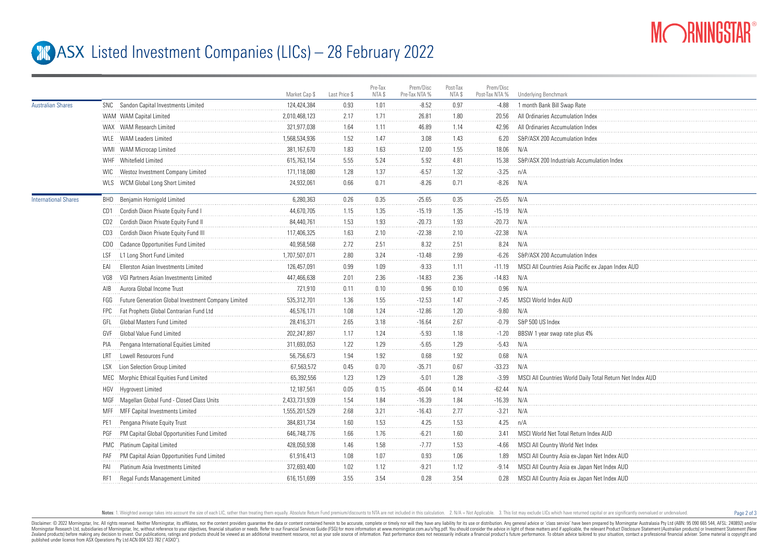

Page 2 of 3

## **ASX** Listed Investment Companies (LICs) – 28 February 2022

|                             |                                                            | Market Cap \$ | Last Price \$ | Pre-Tax<br>NTA \$ | Prem/Disc<br>Pre-Tax NTA % | Post-Tax<br>NTA \$ | Prem/Disc<br>Post-Tax NTA % | Underlying Benchmark                                     |
|-----------------------------|------------------------------------------------------------|---------------|---------------|-------------------|----------------------------|--------------------|-----------------------------|----------------------------------------------------------|
| <b>Australian Shares</b>    | SNC Sandon Capital Investments Limited                     | 124,424,384   | 0.93          | 1.01              | $-8.52$                    | 0.97               | $-4.88$                     | 1 month Bank Bill Swap Rate                              |
|                             | WAM WAM Capital Limited                                    | 2,010,468,123 | 2.17          | 1.71              | 26.81                      | 1.80               | 20.56                       | All Ordinaries Accumulation Index                        |
|                             | WAX WAM Research Limited                                   | 321.977.038   | 1.64          | 1.11              | 46.89                      | 1.14               | 42.96                       | All Ordinaries Accumulation Index                        |
|                             | WLE WAM Leaders Limited                                    | 1.568.534.936 | 1.52          | 1.47              | 3.08                       | 1.43               | 6.20                        | S&P/ASX 200 Accumulation Index                           |
|                             | WMI WAM Microcap Limited                                   | 381,167,670   | 1.83          | 1.63              | 12.00                      | 1.55               | 18.06                       | N/A                                                      |
|                             | WHF Whitefield Limited                                     | 615,763,154   | 5.55          | 5.24              | 5.92                       | 4.81               | 15.38                       | S&P/ASX 200 Industrials Accumulation Index               |
|                             | Westoz Investment Company Limited<br><b>WIC</b>            | 171,118,080   | 1.28          | 1.37              | $-6.57$                    | 1.32               | $-3.25$                     | n/A                                                      |
|                             | WLS WCM Global Long Short Limited                          | 24,932,061    | 0.66          | 0.71              | $-8.26$                    | 0.71               | $-8.26$                     | N/A                                                      |
| <b>International Shares</b> | <b>BHD</b> Benjamin Hornigold Limited                      | 6,280,363     | 0.26          | 0.35              | $-25.65$                   | 0.35               | $-25.65$                    | N/A                                                      |
|                             | CD1 Cordish Dixon Private Equity Fund I                    | 44,670,705    | 1.15          | 1.35              | $-15.19$                   | 1.35               | $-15.19$                    | N/A                                                      |
|                             | CD2 Cordish Dixon Private Equity Fund II                   | 84.440.761    | 1.53          | 1.93              | $-20.73$                   | 1.93               | $-20.73$                    | N/A                                                      |
|                             | Cordish Dixon Private Equity Fund III<br>CD3               | 117,406,325   | 1.63          | 2.10              | $-22.38$                   | 2.10               | $-22.38$                    | N/A                                                      |
|                             | CDO Cadance Opportunities Fund Limited                     | 40,958,568    | 2.72          | 2.51              | 8.32                       | 2.51               | 8.24                        | N/A                                                      |
|                             | L1 Long Short Fund Limited<br>LSF                          | 1,707,507,071 | 2.80          | 3.24              | $-13.48$                   | 2.99               | $-6.26$                     | S&P/ASX 200 Accumulation Index                           |
|                             | Ellerston Asian Investments Limited<br>FAI                 | 126,457,091   | $0.99\,$      | 1.09              | $-9.33$                    | 1.11               | $-11.19$                    | MSCI All Countries Asia Pacific ex Japan Index AUD       |
|                             | VG8<br>VGI Partners Asian Investments Limited              | 447,466,638   | 2.01          | 2.36              | $-14.83$                   | 2.36               | $-14.83$                    | N/A                                                      |
|                             | Aurora Global Income Trust<br>AIB                          | 721,910       | 0.11          | 0.10              | 0.96                       | 0.10               | 0.96                        | N/A                                                      |
|                             | Future Generation Global Investment Company Limited<br>FGG | 535,312,701   | 1.36          | 1.55              | $-12.53$                   | 1.47               | $-7.45$                     | MSCI World Index AUD                                     |
|                             | Fat Prophets Global Contrarian Fund Ltd<br>FPC             | 46,576,171    | 1.08          | 1.24              | $-12.86$                   | 1.20               | $-9.80$                     | N/A                                                      |
|                             | <b>Global Masters Fund Limited</b><br>GFL                  | 28,416,371    | 2.65          | 3.18              | $-16.64$                   | 2.67               | $-0.79$                     | S&P 500 US Index                                         |
|                             | Global Value Fund Limited<br>GVF                           | 202,247,897   | 1.17          | 1.24              | $-5.93$                    | 1.18               | $-1.20$                     | BBSW 1 year swap rate plus 4%                            |
|                             | Pengana International Equities Limited<br>PIA              | 311,693,053   | 1.22          | 1.29              | $-5.65$                    | 1.29               | $-5.43$                     | N/A                                                      |
|                             | Lowell Resources Fund<br>I RT                              | 56,756,673    | 1.94          | 1.92              | 0.68                       | 1.92               | 0.68                        | N/A                                                      |
|                             | Lion Selection Group Limited<br>I SX                       | 67,563,572    | 0.45          | 0.70              | $-35.71$                   | 0.67               | $-33.23$                    | N/A                                                      |
|                             | MEC Morphic Ethical Equities Fund Limited                  | 65,392,556    | 1.23          | 1.29              | $-5.01$                    | 1.28               | $-3.99$                     | MSCI All Countries World Daily Total Return Net Index AU |
|                             | HGV Hygrovest Limited                                      | 12,187,561    | 0.05          | 0.15              | $-65.04$                   | 0.14               | $-62.44$                    | N/A                                                      |
|                             | MGF Magellan Global Fund - Closed Class Units              | 2,433,731,939 | 1.54          | 1.84              | $-16.39$                   | 1.84               | $-16.39$                    | N/A                                                      |
|                             | MFF MFF Capital Investments Limited                        | 1,555,201,529 | 2.68          | 3.21              | $-16.43$                   | 2.77               | $-3.21$                     | N/A                                                      |
|                             | Pengana Private Equity Trust<br>PE1                        | 384,831,734   | 1.60          | 1.53              | 4.25                       | 1.53               | 4.25                        | n/A                                                      |
|                             | PM Capital Global Opportunities Fund Limited<br>PGF        | 646,748,776   | 1.66          | 1.76              | $-6.21$                    | 1.60               | 3.41                        | MSCI World Net Total Return Index AUD                    |
|                             | PMC Platinum Capital Limited                               | 428,050,938   | 1.46          | 1.58              | $-7.77$                    | 1.53               | $-4.66$                     | MSCI All Country World Net Index                         |
|                             | PM Capital Asian Opportunities Fund Limited<br>PAF         | 61,916,413    | 1.08          | 1.07              | 0.93                       | 1.06               | 1.89                        | MSCI All Country Asia ex-Japan Net Index AUD             |
|                             | Platinum Asia Investments Limited<br>PAI                   | 372,693,400   | 1.02          | 1.12              | $-9.21$                    | 1.12               | $-9.14$                     | MSCI All Country Asia ex Japan Net Index AUD             |
|                             | Regal Funds Management Limited<br>RF1                      | 616,151,699   | 3.55          | 3.54              | 0.28                       | 3.54               | 0.28                        | MSCI All Country Asia ex Japan Net Index AUD             |
|                             |                                                            |               |               |                   |                            |                    |                             |                                                          |

Notes: 1. Weighted average takes into account the size of each LIC, rather than treating them equally. Absolute Return Fund premium/discounts to NTA are not included in this calculation. 2. N/A = Not Applicable. 3. This li

Disclaimer: © 2022 Morninostar, Inc. All rights reseved. Neither Morninostar, its affiliates, nor the content providers quarantee the data or content consined herein to be accurate, complete or timely nor will they have an Morningstar Research Ltd, subsidiaries of Morningstar, Inc, without reference to your objectives, financial stuation or needs. Refer to our Financial Services Guide (FSG) for more information at www.morningstar.com.au/s/fs Zealand products) before making any decision to invest. Our publications, ratings and products should be viewed as an additional investment resource, not as your sole squire of information. Past performance does not necess published under licence from ASX Operations Pty Ltd ACN 004 523 782 ("ASXO").